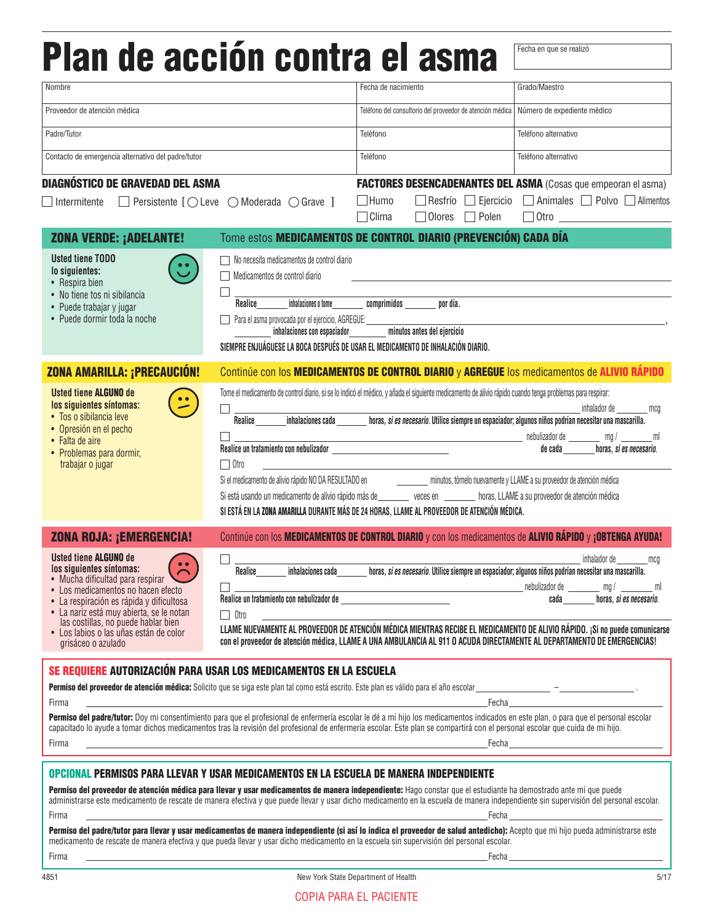## **Plan de acción contra el asma** Fecha en que se realizó

| Nombre                                                                                                                                                                                                                                                                                                                                                                                                                                                                                                                                                                                                                                                                                                                                                                                       |                                                                                                                                                                                                                                               | Fecha de nacimiento                                                                                                                                                                                                                                                                                                                                                                                                                                                                                                                                                                                                                                                                                              | Grado/Maestro                                                                                                                                                                                                                       |  |
|----------------------------------------------------------------------------------------------------------------------------------------------------------------------------------------------------------------------------------------------------------------------------------------------------------------------------------------------------------------------------------------------------------------------------------------------------------------------------------------------------------------------------------------------------------------------------------------------------------------------------------------------------------------------------------------------------------------------------------------------------------------------------------------------|-----------------------------------------------------------------------------------------------------------------------------------------------------------------------------------------------------------------------------------------------|------------------------------------------------------------------------------------------------------------------------------------------------------------------------------------------------------------------------------------------------------------------------------------------------------------------------------------------------------------------------------------------------------------------------------------------------------------------------------------------------------------------------------------------------------------------------------------------------------------------------------------------------------------------------------------------------------------------|-------------------------------------------------------------------------------------------------------------------------------------------------------------------------------------------------------------------------------------|--|
| Proveedor de atención médica                                                                                                                                                                                                                                                                                                                                                                                                                                                                                                                                                                                                                                                                                                                                                                 |                                                                                                                                                                                                                                               | Teléfono del consultorio del proveedor de atención médica   Número de expediente médico                                                                                                                                                                                                                                                                                                                                                                                                                                                                                                                                                                                                                          |                                                                                                                                                                                                                                     |  |
| Padre/Tutor                                                                                                                                                                                                                                                                                                                                                                                                                                                                                                                                                                                                                                                                                                                                                                                  |                                                                                                                                                                                                                                               | Teléfono                                                                                                                                                                                                                                                                                                                                                                                                                                                                                                                                                                                                                                                                                                         | Teléfono alternativo                                                                                                                                                                                                                |  |
| Contacto de emergencia alternativo del padre/tutor                                                                                                                                                                                                                                                                                                                                                                                                                                                                                                                                                                                                                                                                                                                                           |                                                                                                                                                                                                                                               | Teléfono                                                                                                                                                                                                                                                                                                                                                                                                                                                                                                                                                                                                                                                                                                         | Teléfono alternativo                                                                                                                                                                                                                |  |
| Diagnóstico de Gravedad del Asma<br>Intermitente                                                                                                                                                                                                                                                                                                                                                                                                                                                                                                                                                                                                                                                                                                                                             | $\Box$ Persistente $[$ $\bigcirc$ Leve $\bigcirc$ Moderada $\bigcirc$ Grave $]$                                                                                                                                                               | <b>FACTORES DESENCADENANTES DEL ASMA (Cosas que empeoran el asma)</b><br>$\Box$ Humo<br>$\Box$ Clima<br>$\Box$ Olores $\Box$ Polen                                                                                                                                                                                                                                                                                                                                                                                                                                                                                                                                                                               | Resfrío Ejercicio Animales Polvo Alimentos<br>$\Box$ Otro $\Box$                                                                                                                                                                    |  |
| <b>ZONA VERDE: ¡ADELANTE!</b>                                                                                                                                                                                                                                                                                                                                                                                                                                                                                                                                                                                                                                                                                                                                                                |                                                                                                                                                                                                                                               | Tome estos MEDICAMENTOS DE CONTROL DIARIO (PREVENCIÓN) CADA DÍA                                                                                                                                                                                                                                                                                                                                                                                                                                                                                                                                                                                                                                                  |                                                                                                                                                                                                                                     |  |
| <b>Usted tiene TODO</b><br>lo siguientes:<br>• Respira bien<br>• No tiene tos ni sibilancia<br>• Puede trabajar y jugar<br>• Puede dormir toda la noche                                                                                                                                                                                                                                                                                                                                                                                                                                                                                                                                                                                                                                      | $\Box$ No necesita medicamentos de control diario<br>Medicamentos de control diario<br>Realice<br>Para el asma provocada por el ejercicio, AGREGUE: ______________________________<br>inhalaciones con espaciador minutos antes del ejercicio | inhalaciones o tome comprimidos por día.<br>SIEMPRE ENJUÁGUESE LA BOCA DESPUÉS DE USAR EL MEDICAMENTO DE INHALACIÓN DIARIO.                                                                                                                                                                                                                                                                                                                                                                                                                                                                                                                                                                                      |                                                                                                                                                                                                                                     |  |
| ZONA AMARILLA: ¡PRECAUCIÓN!                                                                                                                                                                                                                                                                                                                                                                                                                                                                                                                                                                                                                                                                                                                                                                  |                                                                                                                                                                                                                                               | Continúe con los MEDICAMENTOS DE CONTROL DIARIO y AGREGUE los medicamentos de ALIVIO RÁPIDO                                                                                                                                                                                                                                                                                                                                                                                                                                                                                                                                                                                                                      |                                                                                                                                                                                                                                     |  |
| <b>Usted tiene ALGUNO de</b><br>los siguientes síntomas:<br>• Tos o sibilancia leve<br>• Opresión en el pecho<br>• Falta de aire<br>• Problemas para dormir,<br>trabajar o jugar                                                                                                                                                                                                                                                                                                                                                                                                                                                                                                                                                                                                             | Realice un tratamiento con nebulizador ___________________________________<br>$\Box$ Otro                                                                                                                                                     | Tome el medicamento de control diario, si se lo indicó el médico, y añada el siguiente medicamento de alivio rápido cuando tenga problemas para respirar:<br>Realice inhalaciones cada horas, <i>si es necesario</i> . Utilice siempre un espaciador; algunos niños podrían necesitar una mascarilla.<br>the control of the control of the control of<br>Si el medicamento de alivio rápido NO DA RESULTADO en minutos, tómelo nuevamente y LLAME a su proveedor de atención médica<br>Si está usando un medicamento de alivio rápido más de ______ veces en _____ horas, LLAME a su proveedor de atención médica<br>SI ESTÁ EN LA ZONA AMARILLA DURANTE MÁS DE 24 HORAS, LLAME AL PROVEEDOR DE ATENCIÓN MÉDICA. | inhalador de mcq<br>de cada __________ horas, si es necesario.                                                                                                                                                                      |  |
| <b>ZONA ROJA: ¡EMERGENCIA!</b>                                                                                                                                                                                                                                                                                                                                                                                                                                                                                                                                                                                                                                                                                                                                                               |                                                                                                                                                                                                                                               | Continúe con los MEDICAMENTOS DE CONTROL DIARIO y con los medicamentos de ALIVIO RÁPIDO y ¡OBTENGA AYUDA!                                                                                                                                                                                                                                                                                                                                                                                                                                                                                                                                                                                                        |                                                                                                                                                                                                                                     |  |
| <b>Usted tiene ALGUNO de</b><br>los siguientes síntomas:<br>• Mucha dificultad para respirar<br>• Los medicamentos no hacen efecto<br>La respiración es rápida y dificultosa<br>· La nariz está muy abierta, se le notan<br>las costillas, no puede hablar bien<br>· Los labios o las uñas están de color<br>grisáceo o azulado                                                                                                                                                                                                                                                                                                                                                                                                                                                              | Realice<br>inhalaciones cada<br>Realice un tratamiento con nebulizador de _<br>□ Otro                                                                                                                                                         | horas, si es necesario. Utilice siempre un espaciador; algunos niños podrían necesitar una mascarilla.<br><u> 1980 - Johann Barn, amerikansk politiker (</u><br>LLAME NUEVAMENTE AL PROVEEDOR DE ATENCIÓN MÉDICA MIENTRAS RECIBE EL MEDICAMENTO DE ALIVIO RÁPIDO. ¡Si no puede comunicarse<br>con el proveedor de atención médica, LLAME A UNA AMBULANCIA AL 911 O ACUDA DIRECTAMENTE AL DEPARTAMENTO DE EMERGENCIAS!                                                                                                                                                                                                                                                                                            | inhalador de mcg<br>nebulizador de ________ mg / _______ ml<br>cada <b>caracter caracter caracter caracter caracter caracter caracter caracter caracter caracter caracter caracter</b>                                              |  |
| SE REQUIERE AUTORIZACIÓN PARA USAR LOS MEDICAMENTOS EN LA ESCUELA<br><b>Permiso del proveedor de atención médica:</b> Solicito que se siga este plan tal como está escrito. Este plan es válido para el año escolar el amo escolar el amo escolar el año escolar el año escolar el el escolar el el esco<br>Firma<br>Permiso del padre/tutor: Doy mi consentimiento para que el profesional de enfermería escolar le dé a mi hijo los medicamentos indicados en este plan, o para que el personal escolar<br>capacitado lo ayude a tomar dichos medicamentos tras la revisión del profesional de enfermería escolar. Este plan se compartirá con el personal escolar que cuida de mi hijo.<br>Firma                                                                                          | <u> 1989 - Johann Stoff, deutscher Stoff, der Stoff, der Stoff, der Stoff, der Stoff, der Stoff, der Stoff, der S</u>                                                                                                                         |                                                                                                                                                                                                                                                                                                                                                                                                                                                                                                                                                                                                                                                                                                                  | Fecha <i>experimental</i> control of the control of the control of the control of the control of the control of the control of the control of the control of the control of the control of the control of the control of the contro |  |
| OPCIONAL PERMISOS PARA LLEVAR Y USAR MEDICAMENTOS EN LA ESCUELA DE MANERA INDEPENDIENTE<br>Permiso del proveedor de atención médica para llevar y usar medicamentos de manera independiente: Hago constar que el estudiante ha demostrado ante mí que puede<br>administrarse este medicamento de rescate de manera efectiva y que puede llevar y usar dicho medicamento en la escuela de manera independiente sin supervisión del personal escolar.<br>Firma<br>Permiso del padre/tutor para llevar y usar medicamentos de manera independiente (si así lo indica el proveedor de salud antedicho): Acepto que mi hijo pueda administrarse este<br>medicamento de rescate de manera efectiva y que pueda llevar y usar dicho medicamento en la escuela sin supervisión del personal escolar. |                                                                                                                                                                                                                                               | Fecha                                                                                                                                                                                                                                                                                                                                                                                                                                                                                                                                                                                                                                                                                                            |                                                                                                                                                                                                                                     |  |

| -<br>irm<br>.<br>гінна | եսյա |
|------------------------|------|
|                        |      |

About 2011 New York State Department of Health 5117 New York State Department of Health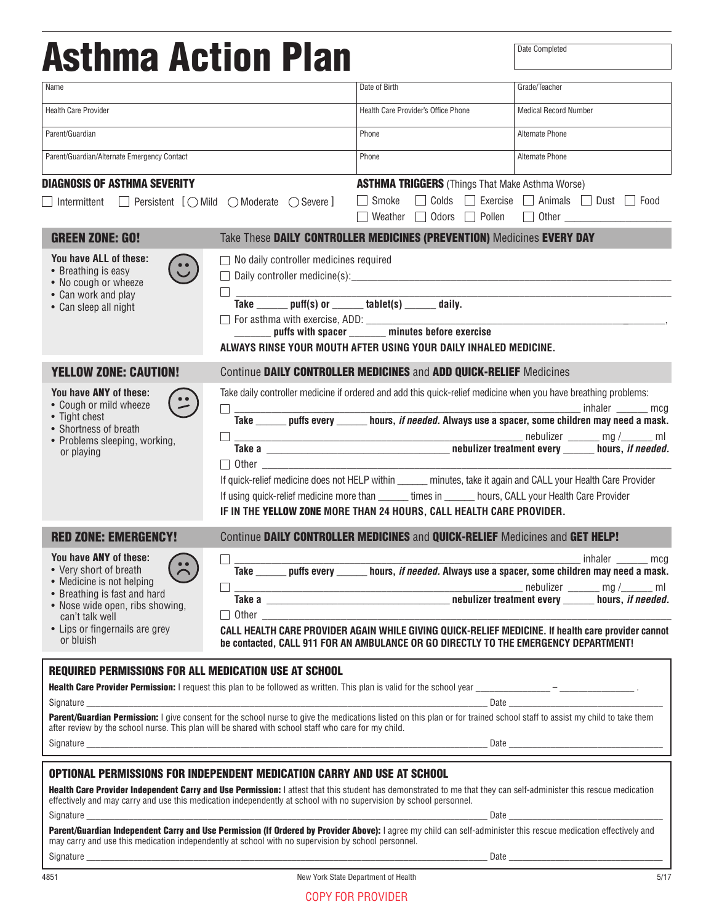| <b>Asthma Action Plan</b>                                                                                                                                                                                                                                                                                                                                                                                                                                                                                                                                                                                                                                                                    |                                                                                                                                                                                    |                                                                                                                                                                                                                                                                                                                                                                                                                  | Date Completed                                             |
|----------------------------------------------------------------------------------------------------------------------------------------------------------------------------------------------------------------------------------------------------------------------------------------------------------------------------------------------------------------------------------------------------------------------------------------------------------------------------------------------------------------------------------------------------------------------------------------------------------------------------------------------------------------------------------------------|------------------------------------------------------------------------------------------------------------------------------------------------------------------------------------|------------------------------------------------------------------------------------------------------------------------------------------------------------------------------------------------------------------------------------------------------------------------------------------------------------------------------------------------------------------------------------------------------------------|------------------------------------------------------------|
| Name                                                                                                                                                                                                                                                                                                                                                                                                                                                                                                                                                                                                                                                                                         |                                                                                                                                                                                    | Date of Birth                                                                                                                                                                                                                                                                                                                                                                                                    | Grade/Teacher                                              |
| <b>Health Care Provider</b>                                                                                                                                                                                                                                                                                                                                                                                                                                                                                                                                                                                                                                                                  |                                                                                                                                                                                    | Health Care Provider's Office Phone                                                                                                                                                                                                                                                                                                                                                                              | <b>Medical Record Number</b>                               |
| Parent/Guardian                                                                                                                                                                                                                                                                                                                                                                                                                                                                                                                                                                                                                                                                              |                                                                                                                                                                                    | Phone                                                                                                                                                                                                                                                                                                                                                                                                            | Alternate Phone                                            |
| Parent/Guardian/Alternate Emergency Contact                                                                                                                                                                                                                                                                                                                                                                                                                                                                                                                                                                                                                                                  |                                                                                                                                                                                    | Phone                                                                                                                                                                                                                                                                                                                                                                                                            | Alternate Phone                                            |
| <b>DIAGNOSIS OF ASTHMA SEVERITY</b>                                                                                                                                                                                                                                                                                                                                                                                                                                                                                                                                                                                                                                                          |                                                                                                                                                                                    | <b>ASTHMA TRIGGERS</b> (Things That Make Asthma Worse)                                                                                                                                                                                                                                                                                                                                                           |                                                            |
| $\Box$ Intermittent $\Box$ Persistent $\Box$ Mild $\bigcirc$ Moderate $\bigcirc$ Severe $\Box$                                                                                                                                                                                                                                                                                                                                                                                                                                                                                                                                                                                               |                                                                                                                                                                                    | Smoke<br>Weather $\Box$ Odors $\Box$ Pollen                                                                                                                                                                                                                                                                                                                                                                      | □ Colds □ Exercise □ Animals □ Dust □ Food<br>$\Box$ Other |
| <b>GREEN ZONE: GO!</b>                                                                                                                                                                                                                                                                                                                                                                                                                                                                                                                                                                                                                                                                       |                                                                                                                                                                                    | Take These DAILY CONTROLLER MEDICINES (PREVENTION) Medicines EVERY DAY                                                                                                                                                                                                                                                                                                                                           |                                                            |
| You have ALL of these:<br>• Breathing is easy<br>• No cough or wheeze<br>• Can work and play<br>• Can sleep all night                                                                                                                                                                                                                                                                                                                                                                                                                                                                                                                                                                        | $\Box$ No daily controller medicines required<br>П.<br>$\overline{\text{Take}}$ puff(s) or $\overline{\text{tablet}}(s)$ $\overline{\text{tablet}}(s)$ $\overline{\text{display}}$ | ALWAYS RINSE YOUR MOUTH AFTER USING YOUR DAILY INHALED MEDICINE.                                                                                                                                                                                                                                                                                                                                                 |                                                            |
| <b>YELLOW ZONE: CAUTION!</b>                                                                                                                                                                                                                                                                                                                                                                                                                                                                                                                                                                                                                                                                 |                                                                                                                                                                                    | Continue DAILY CONTROLLER MEDICINES and ADD QUICK-RELIEF Medicines                                                                                                                                                                                                                                                                                                                                               |                                                            |
| You have ANY of these:<br>• Cough or mild wheeze<br>• Tight chest<br>• Shortness of breath<br>• Problems sleeping, working,<br>or playing                                                                                                                                                                                                                                                                                                                                                                                                                                                                                                                                                    | П<br>$\Box$ Other $\Box$                                                                                                                                                           | Take daily controller medicine if ordered and add this quick-relief medicine when you have breathing problems:<br>If quick-relief medicine does not HELP within _____ minutes, take it again and CALL your Health Care Provider<br>If using quick-relief medicine more than ______ times in ______ hours, CALL your Health Care Provider<br>IF IN THE YELLOW ZONE MORE THAN 24 HOURS, CALL HEALTH CARE PROVIDER. | $_$ inhaler $_$ mcg                                        |
| <b>RED ZONE: EMERGENCY!</b>                                                                                                                                                                                                                                                                                                                                                                                                                                                                                                                                                                                                                                                                  |                                                                                                                                                                                    | Continue DAILY CONTROLLER MEDICINES and QUICK-RELIEF Medicines and GET HELP!                                                                                                                                                                                                                                                                                                                                     |                                                            |
| You have ANY of these:<br>$\ddot{\sim}$<br>• Very short of breath<br>• Medicine is not helping<br>• Breathing is fast and hard<br>• Nose wide open, ribs showing,<br>can't talk well<br>• Lips or fingernails are grey<br>or bluish                                                                                                                                                                                                                                                                                                                                                                                                                                                          | $\Box$<br>$\perp$                                                                                                                                                                  | Take ______ puffs every _______ hours, if needed. Always use a spacer, some children may need a mask.<br>CALL HEALTH CARE PROVIDER AGAIN WHILE GIVING QUICK-RELIEF MEDICINE. If health care provider cannot<br>be contacted, CALL 911 FOR AN AMBULANCE OR GO DIRECTLY TO THE EMERGENCY DEPARTMENT!                                                                                                               | __________________________________ inhaler ___________ mcg |
| <b>REQUIRED PERMISSIONS FOR ALL MEDICATION USE AT SCHOOL</b>                                                                                                                                                                                                                                                                                                                                                                                                                                                                                                                                                                                                                                 |                                                                                                                                                                                    |                                                                                                                                                                                                                                                                                                                                                                                                                  |                                                            |
| Parent/Guardian Permission: I give consent for the school nurse to give the medications listed on this plan or for trained school staff to assist my child to take them<br>after review by the school nurse. This plan will be shared with school staff who care for my child.                                                                                                                                                                                                                                                                                                                                                                                                               |                                                                                                                                                                                    |                                                                                                                                                                                                                                                                                                                                                                                                                  |                                                            |
| <b>OPTIONAL PERMISSIONS FOR INDEPENDENT MEDICATION CARRY AND USE AT SCHOOL</b>                                                                                                                                                                                                                                                                                                                                                                                                                                                                                                                                                                                                               |                                                                                                                                                                                    |                                                                                                                                                                                                                                                                                                                                                                                                                  |                                                            |
| Health Care Provider Independent Carry and Use Permission: I attest that this student has demonstrated to me that they can self-administer this rescue medication<br>effectively and may carry and use this medication independently at school with no supervision by school personnel.<br>Signature Date 2008 and 2008 and 2008 and 2008 and 2008 and 2008 and 2008 and 2008 and 2008 and 2008 and 2008 and 2008 and 2008 and 2008 and 2008 and 2008 and 2008 and 2008 and 2008 and 2008 and 2008 and 2008 and 2008 and<br>Parent/Guardian Independent Carry and Use Permission (If Ordered by Provider Above): I agree my child can self-administer this rescue medication effectively and |                                                                                                                                                                                    |                                                                                                                                                                                                                                                                                                                                                                                                                  |                                                            |
| may carry and use this medication independently at school with no supervision by school personnel.                                                                                                                                                                                                                                                                                                                                                                                                                                                                                                                                                                                           |                                                                                                                                                                                    |                                                                                                                                                                                                                                                                                                                                                                                                                  |                                                            |
| 4851                                                                                                                                                                                                                                                                                                                                                                                                                                                                                                                                                                                                                                                                                         |                                                                                                                                                                                    | New York State Department of Health                                                                                                                                                                                                                                                                                                                                                                              | 5/17                                                       |